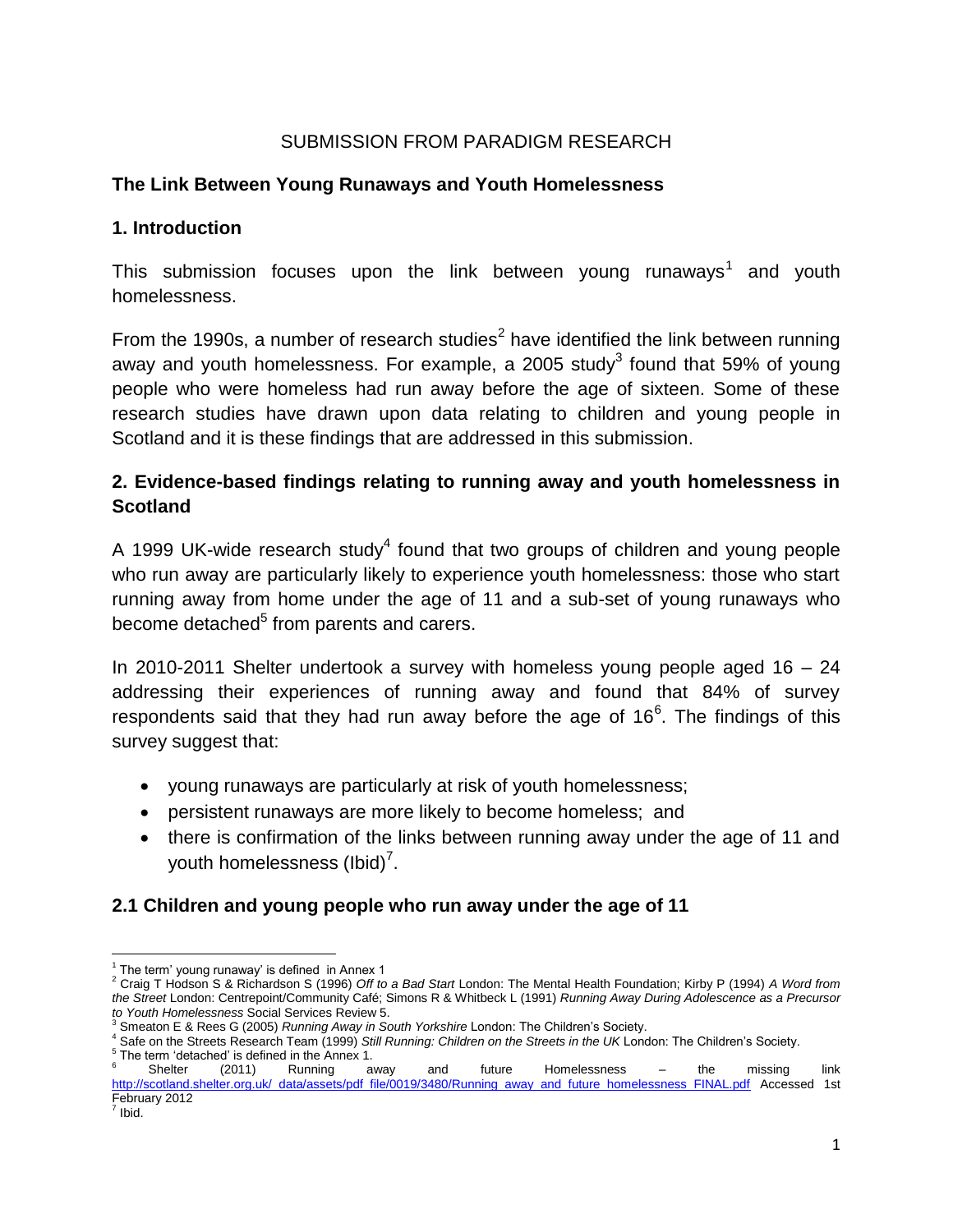## SUBMISSION FROM PARADIGM RESEARCH

#### **The Link Between Young Runaways and Youth Homelessness**

#### **1. Introduction**

This submission focuses upon the link between young runaways<sup>1</sup> and youth homelessness.

From the 1990s, a number of research studies<sup>2</sup> have identified the link between running away and youth homelessness. For example, a 2005 study<sup>3</sup> found that 59% of young people who were homeless had run away before the age of sixteen. Some of these research studies have drawn upon data relating to children and young people in Scotland and it is these findings that are addressed in this submission.

# **2. Evidence-based findings relating to running away and youth homelessness in Scotland**

A 1999 UK-wide research study<sup>4</sup> found that two groups of children and young people who run away are particularly likely to experience youth homelessness: those who start running away from home under the age of 11 and a sub-set of young runaways who become detached<sup>5</sup> from parents and carers.

In 2010-2011 Shelter undertook a survey with homeless young people aged  $16 - 24$ addressing their experiences of running away and found that 84% of survey respondents said that they had run away before the age of  $16<sup>6</sup>$ . The findings of this survey suggest that:

- young runaways are particularly at risk of youth homelessness;
- persistent runaways are more likely to become homeless; and
- there is confirmation of the links between running away under the age of 11 and youth homelessness (lbid)<sup>7</sup>.

### **2.1 Children and young people who run away under the age of 11**

 $\overline{\phantom{a}}$  $1$  The term' young runaway' is defined in Annex 1

<sup>2</sup> Craig T Hodson S & Richardson S (1996) *Off to a Bad Start* London: The Mental Health Foundation; Kirby P (1994) *A Word from the Street* London: Centrepoint/Community Café; Simons R & Whitbeck L (1991) *Running Away During Adolescence as a Precursor* 

*to Youth Homelessness* Social Services Review 5. <sup>3</sup> Smeaton E & Rees G (2005) *Running Away in South Yorkshire* London: The Children's Society.

<sup>4</sup> Safe on the Streets Research Team (1999) *Still Running: Children on the Streets in the UK* London: The Children's Society.

<sup>&</sup>lt;sup>5</sup> The term 'detached' is defined in the Annex 1.<br><sup>6</sup> Shelter (2011) Running away and future Homelessness – the missing link [http://scotland.shelter.org.uk/\\_data/assets/pdf\\_file/0019/3480/Running\\_away\\_and\\_future\\_homelessness\\_FINAL.pdf](http://scotland.shelter.org.uk/_data/assets/pdf_file/0019/3480/Running_away_and_future_homelessness_FINAL.pdf) Accessed 1st February 2012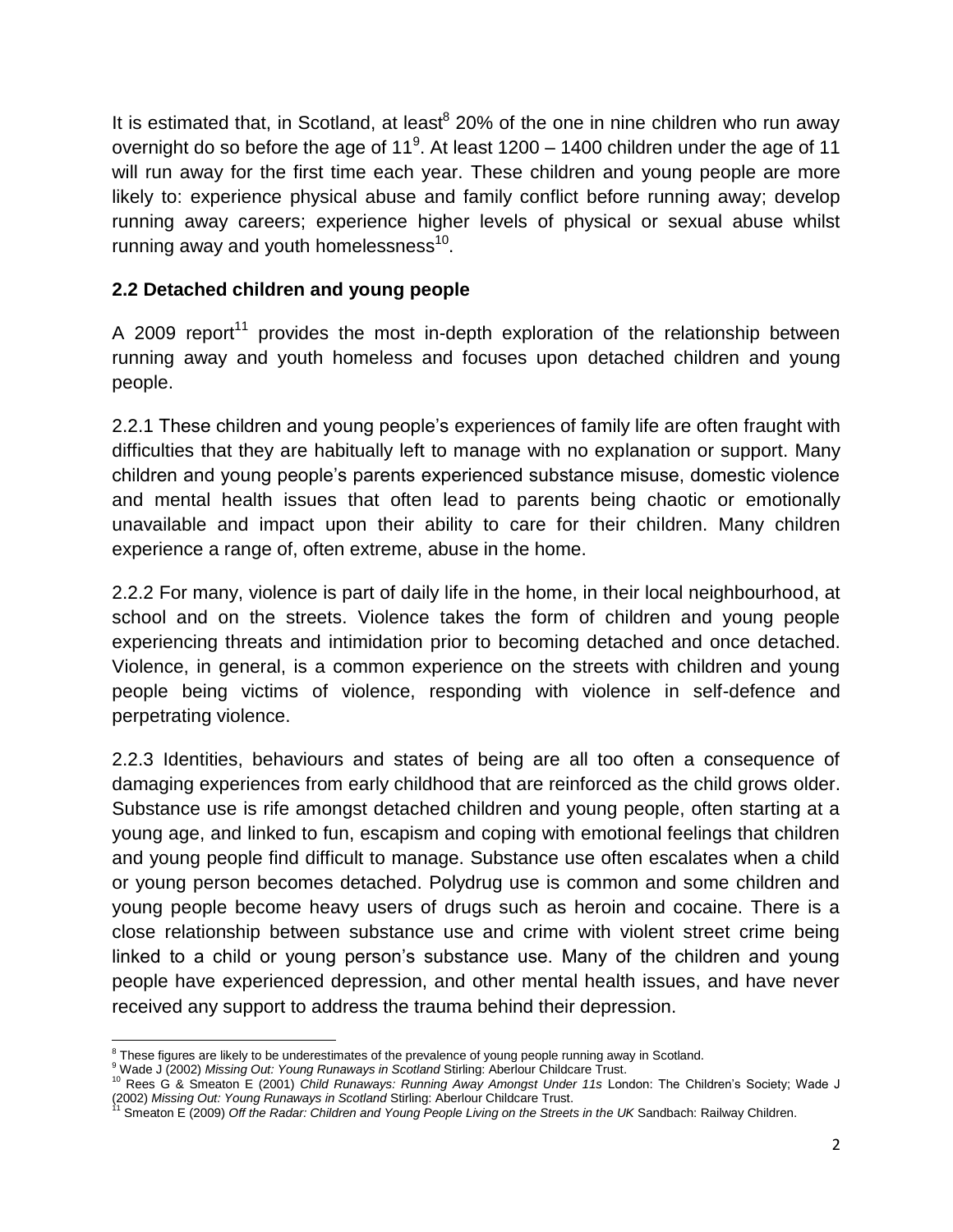It is estimated that, in Scotland, at least $^8$  20% of the one in nine children who run away overnight do so before the age of 11<sup>9</sup>. At least 1200 – 1400 children under the age of 11 will run away for the first time each year. These children and young people are more likely to: experience physical abuse and family conflict before running away; develop running away careers; experience higher levels of physical or sexual abuse whilst running away and youth homelessness $^{10}$ .

### **2.2 Detached children and young people**

A 2009 report<sup>11</sup> provides the most in-depth exploration of the relationship between running away and youth homeless and focuses upon detached children and young people.

2.2.1 These children and young people's experiences of family life are often fraught with difficulties that they are habitually left to manage with no explanation or support. Many children and young people's parents experienced substance misuse, domestic violence and mental health issues that often lead to parents being chaotic or emotionally unavailable and impact upon their ability to care for their children. Many children experience a range of, often extreme, abuse in the home.

2.2.2 For many, violence is part of daily life in the home, in their local neighbourhood, at school and on the streets. Violence takes the form of children and young people experiencing threats and intimidation prior to becoming detached and once detached. Violence, in general, is a common experience on the streets with children and young people being victims of violence, responding with violence in self-defence and perpetrating violence.

2.2.3 Identities, behaviours and states of being are all too often a consequence of damaging experiences from early childhood that are reinforced as the child grows older. Substance use is rife amongst detached children and young people, often starting at a young age, and linked to fun, escapism and coping with emotional feelings that children and young people find difficult to manage. Substance use often escalates when a child or young person becomes detached. Polydrug use is common and some children and young people become heavy users of drugs such as heroin and cocaine. There is a close relationship between substance use and crime with violent street crime being linked to a child or young person's substance use. Many of the children and young people have experienced depression, and other mental health issues, and have never received any support to address the trauma behind their depression.

 $\overline{\phantom{a}}$ <sup>8</sup> These figures are likely to be underestimates of the prevalence of young people running away in Scotland.

<sup>&</sup>lt;sup>9</sup> Wade J (2002) Missing Out: Young Runaways in Scotland Stirling: Aberlour Childcare Trust.

<sup>10</sup> Rees G & Smeaton E (2001) *Child Runaways: Running Away Amongst Under 11s* London: The Children's Society; Wade J (2002) *Missing Out: Young Runaways in Scotland* Stirling: Aberlour Childcare Trust.

<sup>11</sup> Smeaton E (2009) *Off the Radar: Children and Young People Living on the Streets in the UK* Sandbach: Railway Children.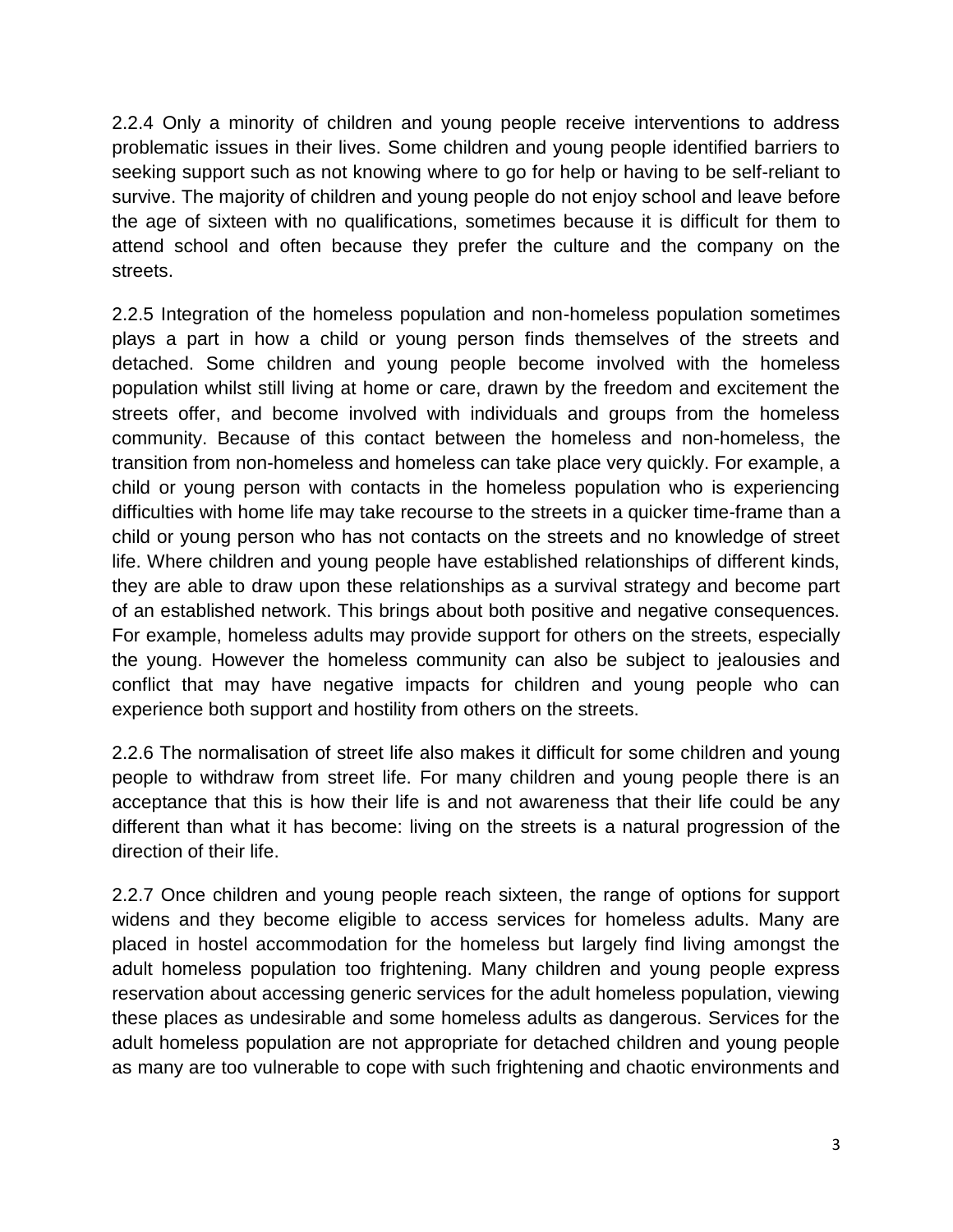2.2.4 Only a minority of children and young people receive interventions to address problematic issues in their lives. Some children and young people identified barriers to seeking support such as not knowing where to go for help or having to be self-reliant to survive. The majority of children and young people do not enjoy school and leave before the age of sixteen with no qualifications, sometimes because it is difficult for them to attend school and often because they prefer the culture and the company on the streets.

2.2.5 Integration of the homeless population and non-homeless population sometimes plays a part in how a child or young person finds themselves of the streets and detached. Some children and young people become involved with the homeless population whilst still living at home or care, drawn by the freedom and excitement the streets offer, and become involved with individuals and groups from the homeless community. Because of this contact between the homeless and non-homeless, the transition from non-homeless and homeless can take place very quickly. For example, a child or young person with contacts in the homeless population who is experiencing difficulties with home life may take recourse to the streets in a quicker time-frame than a child or young person who has not contacts on the streets and no knowledge of street life. Where children and young people have established relationships of different kinds, they are able to draw upon these relationships as a survival strategy and become part of an established network. This brings about both positive and negative consequences. For example, homeless adults may provide support for others on the streets, especially the young. However the homeless community can also be subject to jealousies and conflict that may have negative impacts for children and young people who can experience both support and hostility from others on the streets.

2.2.6 The normalisation of street life also makes it difficult for some children and young people to withdraw from street life. For many children and young people there is an acceptance that this is how their life is and not awareness that their life could be any different than what it has become: living on the streets is a natural progression of the direction of their life.

2.2.7 Once children and young people reach sixteen, the range of options for support widens and they become eligible to access services for homeless adults. Many are placed in hostel accommodation for the homeless but largely find living amongst the adult homeless population too frightening. Many children and young people express reservation about accessing generic services for the adult homeless population, viewing these places as undesirable and some homeless adults as dangerous. Services for the adult homeless population are not appropriate for detached children and young people as many are too vulnerable to cope with such frightening and chaotic environments and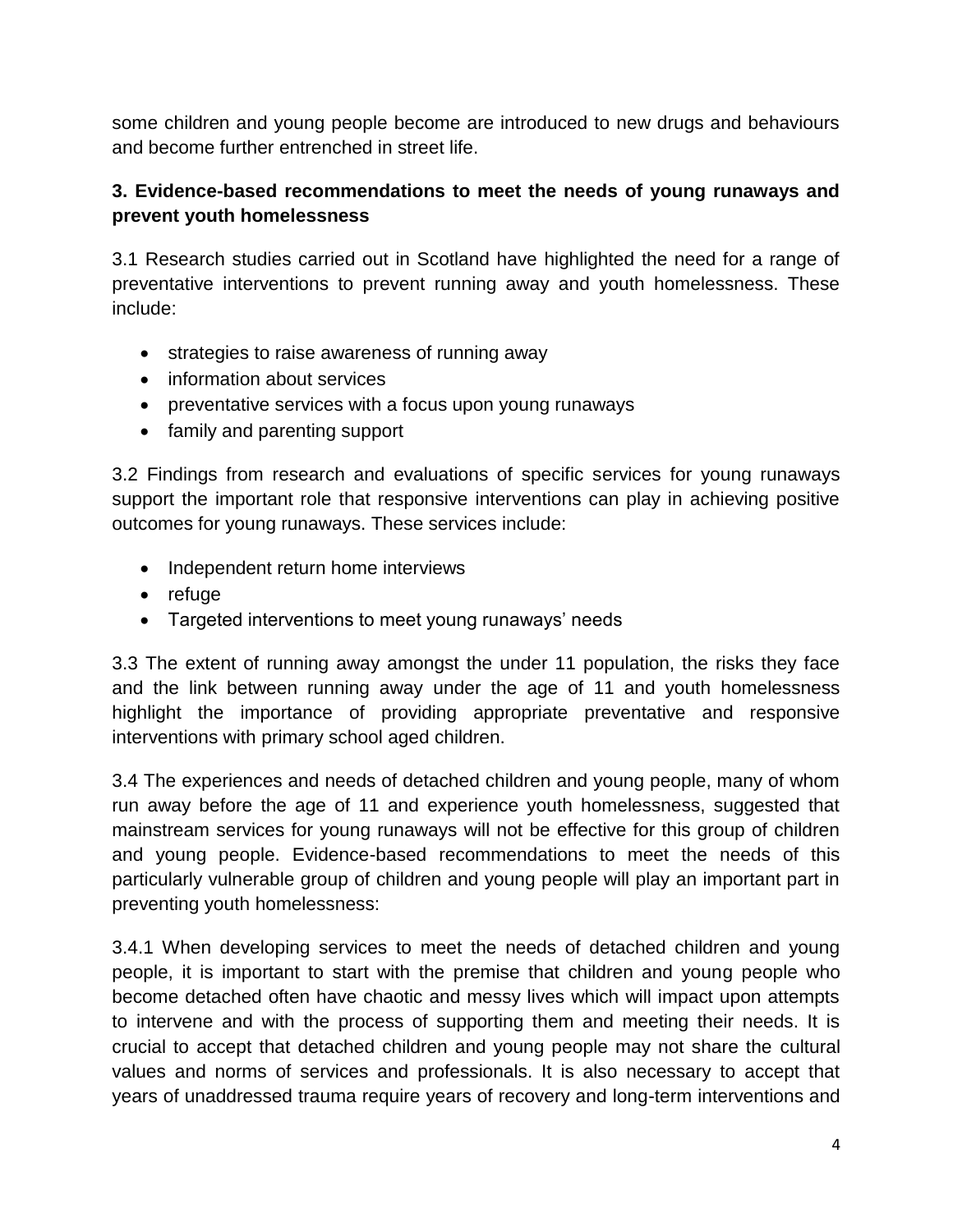some children and young people become are introduced to new drugs and behaviours and become further entrenched in street life.

# **3. Evidence-based recommendations to meet the needs of young runaways and prevent youth homelessness**

3.1 Research studies carried out in Scotland have highlighted the need for a range of preventative interventions to prevent running away and youth homelessness. These include:

- strategies to raise awareness of running away
- information about services
- preventative services with a focus upon young runaways
- family and parenting support

3.2 Findings from research and evaluations of specific services for young runaways support the important role that responsive interventions can play in achieving positive outcomes for young runaways. These services include:

- Independent return home interviews
- refuge
- Targeted interventions to meet young runaways' needs

3.3 The extent of running away amongst the under 11 population, the risks they face and the link between running away under the age of 11 and youth homelessness highlight the importance of providing appropriate preventative and responsive interventions with primary school aged children.

3.4 The experiences and needs of detached children and young people, many of whom run away before the age of 11 and experience youth homelessness, suggested that mainstream services for young runaways will not be effective for this group of children and young people. Evidence-based recommendations to meet the needs of this particularly vulnerable group of children and young people will play an important part in preventing youth homelessness:

3.4.1 When developing services to meet the needs of detached children and young people, it is important to start with the premise that children and young people who become detached often have chaotic and messy lives which will impact upon attempts to intervene and with the process of supporting them and meeting their needs. It is crucial to accept that detached children and young people may not share the cultural values and norms of services and professionals. It is also necessary to accept that years of unaddressed trauma require years of recovery and long-term interventions and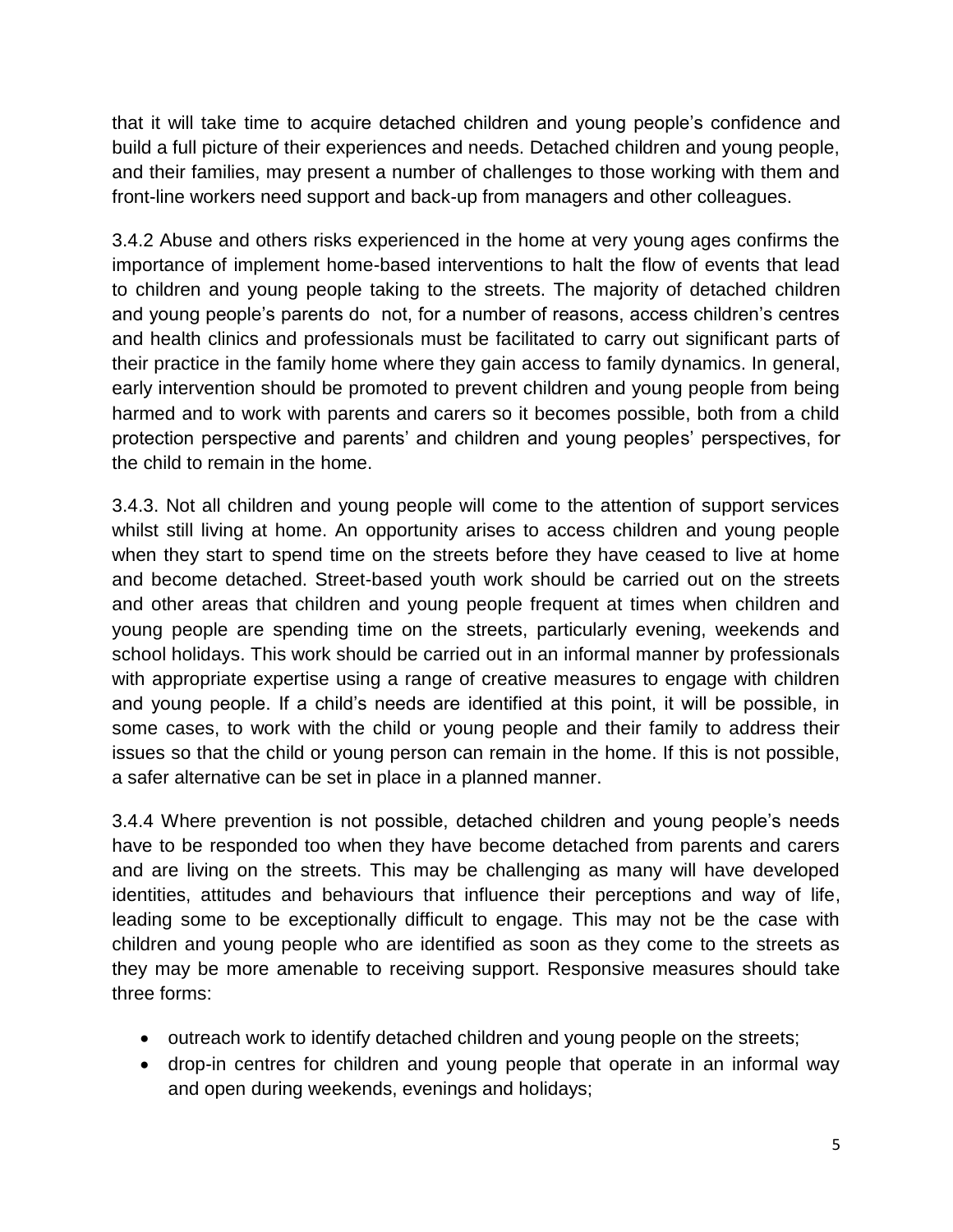that it will take time to acquire detached children and young people's confidence and build a full picture of their experiences and needs. Detached children and young people, and their families, may present a number of challenges to those working with them and front-line workers need support and back-up from managers and other colleagues.

3.4.2 Abuse and others risks experienced in the home at very young ages confirms the importance of implement home-based interventions to halt the flow of events that lead to children and young people taking to the streets. The majority of detached children and young people's parents do not, for a number of reasons, access children's centres and health clinics and professionals must be facilitated to carry out significant parts of their practice in the family home where they gain access to family dynamics. In general, early intervention should be promoted to prevent children and young people from being harmed and to work with parents and carers so it becomes possible, both from a child protection perspective and parents' and children and young peoples' perspectives, for the child to remain in the home.

3.4.3. Not all children and young people will come to the attention of support services whilst still living at home. An opportunity arises to access children and young people when they start to spend time on the streets before they have ceased to live at home and become detached. Street-based youth work should be carried out on the streets and other areas that children and young people frequent at times when children and young people are spending time on the streets, particularly evening, weekends and school holidays. This work should be carried out in an informal manner by professionals with appropriate expertise using a range of creative measures to engage with children and young people. If a child's needs are identified at this point, it will be possible, in some cases, to work with the child or young people and their family to address their issues so that the child or young person can remain in the home. If this is not possible, a safer alternative can be set in place in a planned manner.

3.4.4 Where prevention is not possible, detached children and young people's needs have to be responded too when they have become detached from parents and carers and are living on the streets. This may be challenging as many will have developed identities, attitudes and behaviours that influence their perceptions and way of life, leading some to be exceptionally difficult to engage. This may not be the case with children and young people who are identified as soon as they come to the streets as they may be more amenable to receiving support. Responsive measures should take three forms:

- outreach work to identify detached children and young people on the streets;
- drop-in centres for children and young people that operate in an informal way and open during weekends, evenings and holidays;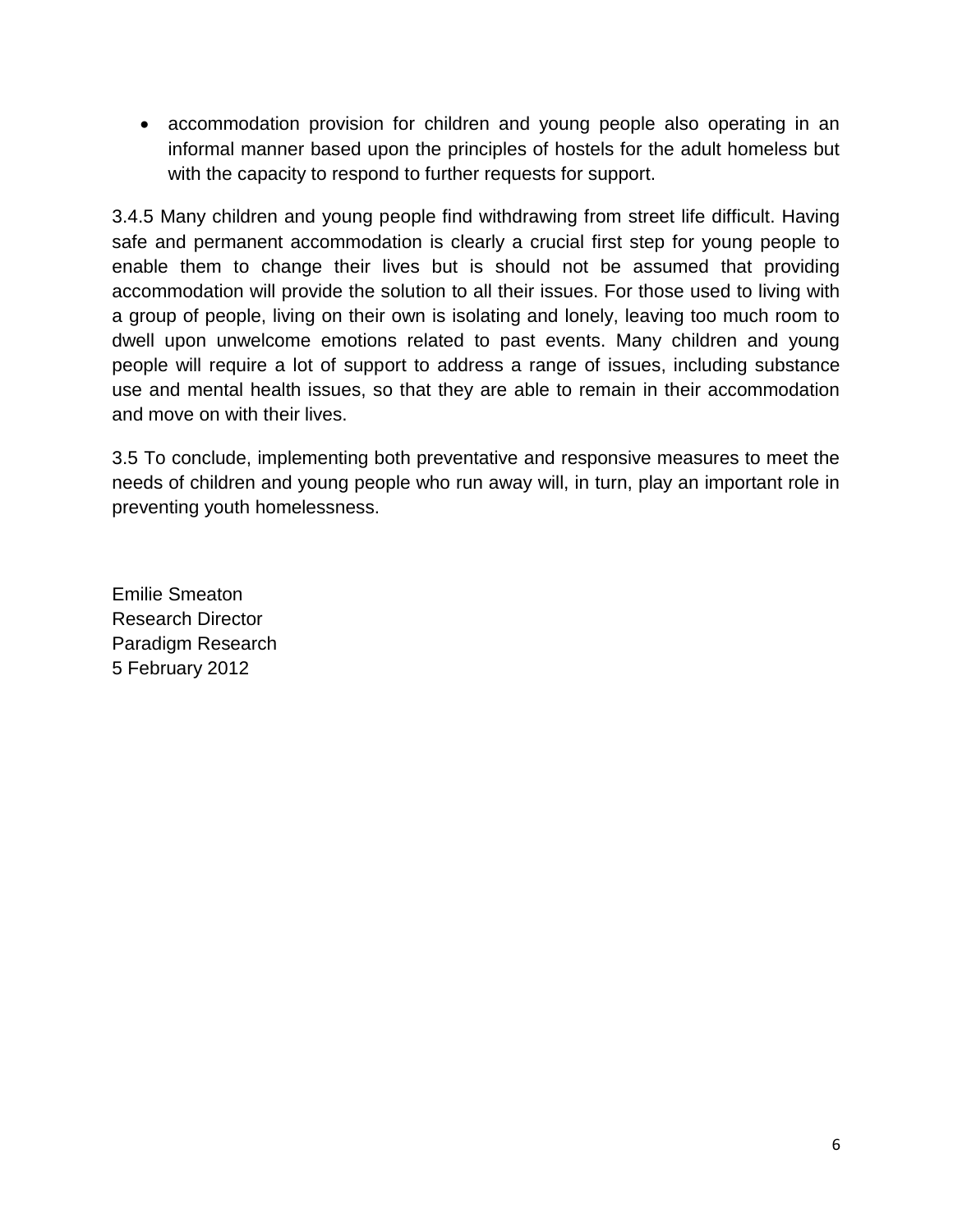• accommodation provision for children and young people also operating in an informal manner based upon the principles of hostels for the adult homeless but with the capacity to respond to further requests for support.

3.4.5 Many children and young people find withdrawing from street life difficult. Having safe and permanent accommodation is clearly a crucial first step for young people to enable them to change their lives but is should not be assumed that providing accommodation will provide the solution to all their issues. For those used to living with a group of people, living on their own is isolating and lonely, leaving too much room to dwell upon unwelcome emotions related to past events. Many children and young people will require a lot of support to address a range of issues, including substance use and mental health issues, so that they are able to remain in their accommodation and move on with their lives.

3.5 To conclude, implementing both preventative and responsive measures to meet the needs of children and young people who run away will, in turn, play an important role in preventing youth homelessness.

Emilie Smeaton Research Director Paradigm Research 5 February 2012